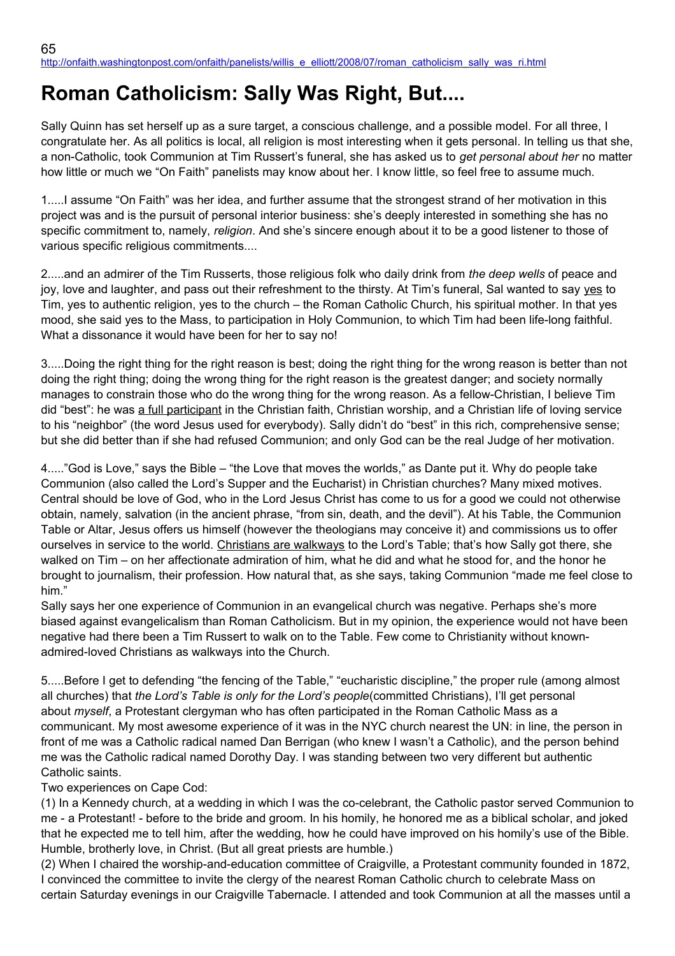# **Roman Catholicism: Sally Was Right, But....**

Sally Quinn has set herself up as a sure target, a conscious challenge, and a possible model. For all three, I congratulate her. As all politics is local, all religion is most interesting when it gets personal. In telling us that she, a non-Catholic, took Communion at Tim Russert's funeral, she has asked us to *get personal about her* no matter how little or much we "On Faith" panelists may know about her. I know little, so feel free to assume much.

1.....I assume "On Faith" was her idea, and further assume that the strongest strand of her motivation in this project was and is the pursuit of personal interior business: she's deeply interested in something she has no specific commitment to, namely, *religion*. And she's sincere enough about it to be a good listener to those of various specific religious commitments....

2.....and an admirer of the Tim Russerts, those religious folk who daily drink from *the deep wells* of peace and joy, love and laughter, and pass out their refreshment to the thirsty. At Tim's funeral, Sal wanted to say yes to Tim, yes to authentic religion, yes to the church – the Roman Catholic Church, his spiritual mother. In that yes mood, she said yes to the Mass, to participation in Holy Communion, to which Tim had been life-long faithful. What a dissonance it would have been for her to say no!

3.....Doing the right thing for the right reason is best; doing the right thing for the wrong reason is better than not doing the right thing; doing the wrong thing for the right reason is the greatest danger; and society normally manages to constrain those who do the wrong thing for the wrong reason. As a fellow-Christian, I believe Tim did "best": he was a full participant in the Christian faith, Christian worship, and a Christian life of loving service to his "neighbor" (the word Jesus used for everybody). Sally didn't do "best" in this rich, comprehensive sense; but she did better than if she had refused Communion; and only God can be the real Judge of her motivation.

4....."God is Love," says the Bible – "the Love that moves the worlds," as Dante put it. Why do people take Communion (also called the Lord's Supper and the Eucharist) in Christian churches? Many mixed motives. Central should be love of God, who in the Lord Jesus Christ has come to us for a good we could not otherwise obtain, namely, salvation (in the ancient phrase, "from sin, death, and the devil"). At his Table, the Communion Table or Altar, Jesus offers us himself (however the theologians may conceive it) and commissions us to offer ourselves in service to the world. Christians are walkways to the Lord's Table; that's how Sally got there, she walked on Tim – on her affectionate admiration of him, what he did and what he stood for, and the honor he brought to journalism, their profession. How natural that, as she says, taking Communion "made me feel close to him."

Sally says her one experience of Communion in an evangelical church was negative. Perhaps she's more biased against evangelicalism than Roman Catholicism. But in my opinion, the experience would not have been negative had there been a Tim Russert to walk on to the Table. Few come to Christianity without knownadmired-loved Christians as walkways into the Church.

5.....Before I get to defending "the fencing of the Table," "eucharistic discipline," the proper rule (among almost all churches) that *the Lord's Table is only for the Lord's people*(committed Christians), I'll get personal about *myself*, a Protestant clergyman who has often participated in the Roman Catholic Mass as a communicant. My most awesome experience of it was in the NYC church nearest the UN: in line, the person in front of me was a Catholic radical named Dan Berrigan (who knew I wasn't a Catholic), and the person behind me was the Catholic radical named Dorothy Day. I was standing between two very different but authentic Catholic saints.

# Two experiences on Cape Cod:

(1) In a Kennedy church, at a wedding in which I was the co-celebrant, the Catholic pastor served Communion to me - a Protestant! - before to the bride and groom. In his homily, he honored me as a biblical scholar, and joked that he expected me to tell him, after the wedding, how he could have improved on his homily's use of the Bible. Humble, brotherly love, in Christ. (But all great priests are humble.)

(2) When I chaired the worship-and-education committee of Craigville, a Protestant community founded in 1872, I convinced the committee to invite the clergy of the nearest Roman Catholic church to celebrate Mass on certain Saturday evenings in our Craigville Tabernacle. I attended and took Communion at all the masses until a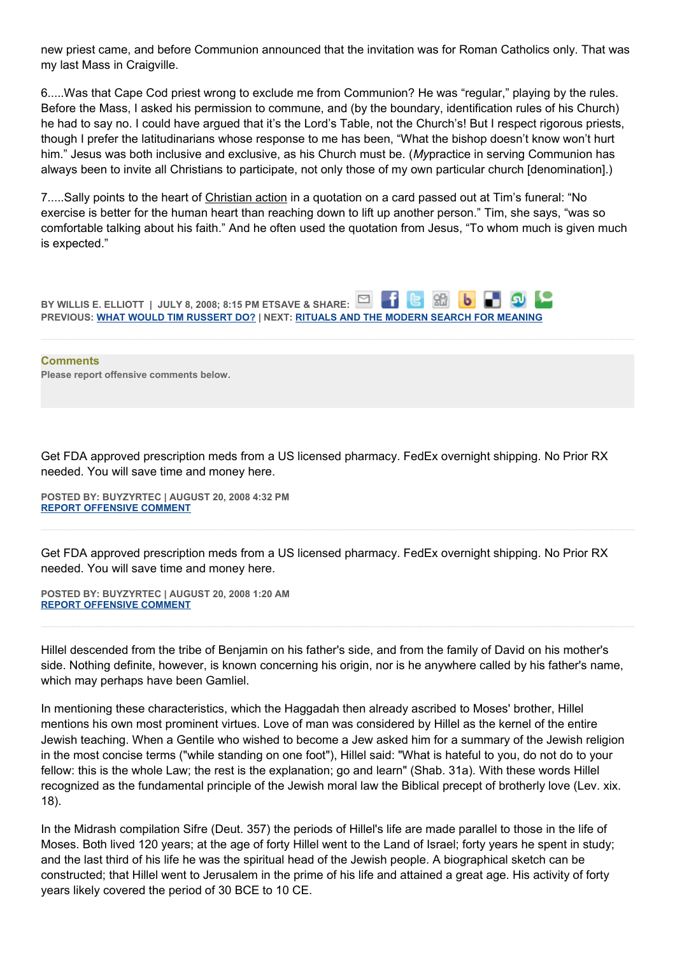new priest came, and before Communion announced that the invitation was for Roman Catholics only. That was my last Mass in Craigville.

6.....Was that Cape Cod priest wrong to exclude me from Communion? He was "regular," playing by the rules. Before the Mass, I asked his permission to commune, and (by the boundary, identification rules of his Church) he had to say no. I could have argued that it's the Lord's Table, not the Church's! But I respect rigorous priests, though I prefer the latitudinarians whose response to me has been, "What the bishop doesn't know won't hurt him." Jesus was both inclusive and exclusive, as his Church must be. (*My*practice in serving Communion has always been to invite all Christians to participate, not only those of my own particular church [denomination].)

7.....Sally points to the heart of Christian action in a quotation on a card passed out at Tim's funeral: "No exercise is better for the human heart than reaching down to lift up another person." Tim, she says, "was so comfortable talking about his faith." And he often used the quotation from Jesus, "To whom much is given much is expected."



**Comments Please report offensive comments below.**

Get FDA approved prescription meds from a US licensed pharmacy. FedEx overnight shipping. No Prior RX needed. You will save time and money here.

**POSTED BY: BUYZYRTEC | AUGUST 20, 2008 4:32 PM [REPORT OFFENSIVE COMMENT](mailto:blogs@washingtonpost.com?subject=On%20Faith%20Panelists%20Blog%20%20%7C%20%20buyzyrtec%20%20%7C%20%20Roman%20Catholicism:%20Sally%20Was%20Right,%20But....%20%20%7C%20%204500262&body=%0D%0D%0D%0D%0D================%0D?__mode=view%26_type=comment%26id=4500262%26blog_id=618)**

Get FDA approved prescription meds from a US licensed pharmacy. FedEx overnight shipping. No Prior RX needed. You will save time and money here.

**POSTED BY: BUYZYRTEC | AUGUST 20, 2008 1:20 AM [REPORT OFFENSIVE COMMENT](mailto:blogs@washingtonpost.com?subject=On%20Faith%20Panelists%20Blog%20%20%7C%20%20buyzyrtec%20%20%7C%20%20Roman%20Catholicism:%20Sally%20Was%20Right,%20But....%20%20%7C%20%204495520&body=%0D%0D%0D%0D%0D================%0D?__mode=view%26_type=comment%26id=4495520%26blog_id=618)**

Hillel descended from the tribe of Benjamin on his father's side, and from the family of David on his mother's side. Nothing definite, however, is known concerning his origin, nor is he anywhere called by his father's name, which may perhaps have been Gamliel.

In mentioning these characteristics, which the Haggadah then already ascribed to Moses' brother, Hillel mentions his own most prominent virtues. Love of man was considered by Hillel as the kernel of the entire Jewish teaching. When a Gentile who wished to become a Jew asked him for a summary of the Jewish religion in the most concise terms ("while standing on one foot"), Hillel said: "What is hateful to you, do not do to your fellow: this is the whole Law; the rest is the explanation; go and learn" (Shab. 31a). With these words Hillel recognized as the fundamental principle of the Jewish moral law the Biblical precept of brotherly love (Lev. xix. 18).

In the Midrash compilation Sifre (Deut. 357) the periods of Hillel's life are made parallel to those in the life of Moses. Both lived 120 years; at the age of forty Hillel went to the Land of Israel; forty years he spent in study; and the last third of his life he was the spiritual head of the Jewish people. A biographical sketch can be constructed; that Hillel went to Jerusalem in the prime of his life and attained a great age. His activity of forty years likely covered the period of 30 BCE to 10 CE.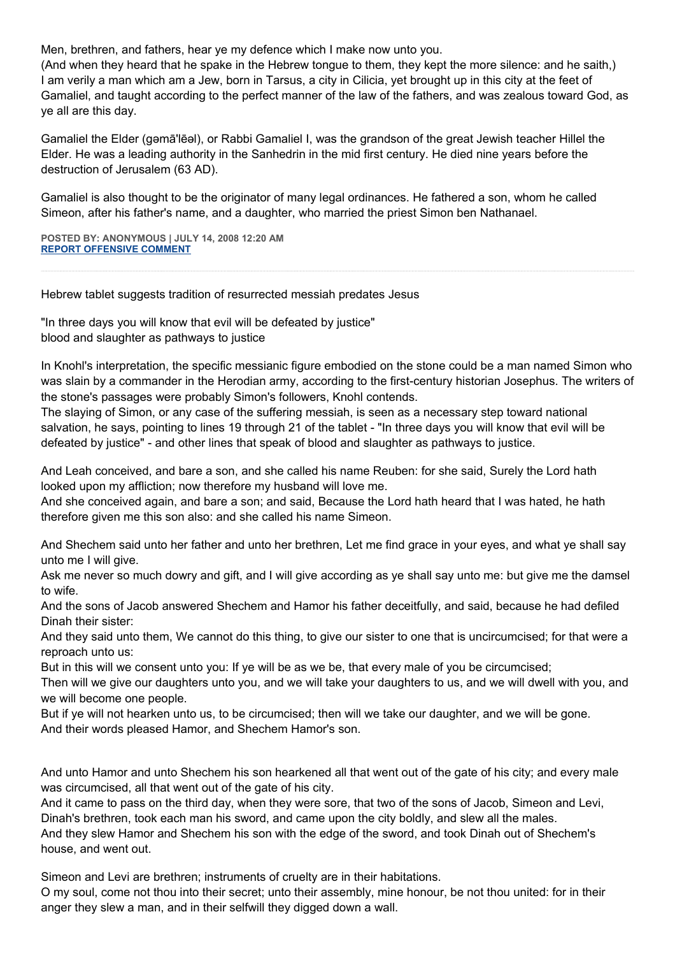Men, brethren, and fathers, hear ye my defence which I make now unto you.

(And when they heard that he spake in the Hebrew tongue to them, they kept the more silence: and he saith,) I am verily a man which am a Jew, born in Tarsus, a city in Cilicia, yet brought up in this city at the feet of Gamaliel, and taught according to the perfect manner of the law of the fathers, and was zealous toward God, as ye all are this day.

Gamaliel the Elder (gəmā'lēəl), or Rabbi Gamaliel I, was the grandson of the great Jewish teacher Hillel the Elder. He was a leading authority in the Sanhedrin in the mid first century. He died nine years before the destruction of Jerusalem (63 AD).

Gamaliel is also thought to be the originator of many legal ordinances. He fathered a son, whom he called Simeon, after his father's name, and a daughter, who married the priest Simon ben Nathanael.

**POSTED BY: ANONYMOUS | JULY 14, 2008 12:20 AM [REPORT OFFENSIVE COMMENT](mailto:blogs@washingtonpost.com?subject=On%20Faith%20Panelists%20Blog%20%20%7C%20%20Anonymous%20%20%7C%20%20Roman%20Catholicism:%20Sally%20Was%20Right,%20But....%20%20%7C%20%204195895&body=%0D%0D%0D%0D%0D================%0D?__mode=view%26_type=comment%26id=4195895%26blog_id=618)**

Hebrew tablet suggests tradition of resurrected messiah predates Jesus

"In three days you will know that evil will be defeated by justice" blood and slaughter as pathways to justice

In Knohl's interpretation, the specific messianic figure embodied on the stone could be a man named Simon who was slain by a commander in the Herodian army, according to the first-century historian Josephus. The writers of the stone's passages were probably Simon's followers, Knohl contends.

The slaying of Simon, or any case of the suffering messiah, is seen as a necessary step toward national salvation, he says, pointing to lines 19 through 21 of the tablet - "In three days you will know that evil will be defeated by justice" - and other lines that speak of blood and slaughter as pathways to justice.

And Leah conceived, and bare a son, and she called his name Reuben: for she said, Surely the Lord hath looked upon my affliction; now therefore my husband will love me.

And she conceived again, and bare a son; and said, Because the Lord hath heard that I was hated, he hath therefore given me this son also: and she called his name Simeon.

And Shechem said unto her father and unto her brethren, Let me find grace in your eyes, and what ye shall say unto me I will give.

Ask me never so much dowry and gift, and I will give according as ye shall say unto me: but give me the damsel to wife.

And the sons of Jacob answered Shechem and Hamor his father deceitfully, and said, because he had defiled Dinah their sister:

And they said unto them, We cannot do this thing, to give our sister to one that is uncircumcised; for that were a reproach unto us:

But in this will we consent unto you: If ye will be as we be, that every male of you be circumcised;

Then will we give our daughters unto you, and we will take your daughters to us, and we will dwell with you, and we will become one people.

But if ye will not hearken unto us, to be circumcised; then will we take our daughter, and we will be gone. And their words pleased Hamor, and Shechem Hamor's son.

And unto Hamor and unto Shechem his son hearkened all that went out of the gate of his city; and every male was circumcised, all that went out of the gate of his city.

And it came to pass on the third day, when they were sore, that two of the sons of Jacob, Simeon and Levi, Dinah's brethren, took each man his sword, and came upon the city boldly, and slew all the males. And they slew Hamor and Shechem his son with the edge of the sword, and took Dinah out of Shechem's house, and went out.

Simeon and Levi are brethren; instruments of cruelty are in their habitations.

O my soul, come not thou into their secret; unto their assembly, mine honour, be not thou united: for in their anger they slew a man, and in their selfwill they digged down a wall.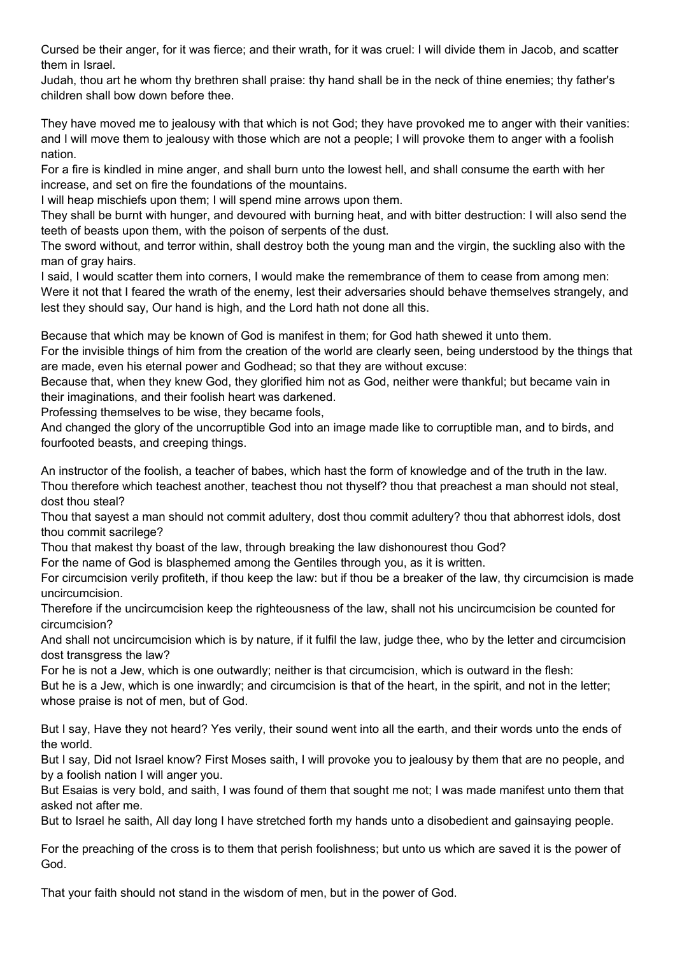Cursed be their anger, for it was fierce; and their wrath, for it was cruel: I will divide them in Jacob, and scatter them in Israel.

Judah, thou art he whom thy brethren shall praise: thy hand shall be in the neck of thine enemies; thy father's children shall bow down before thee.

They have moved me to jealousy with that which is not God; they have provoked me to anger with their vanities: and I will move them to jealousy with those which are not a people; I will provoke them to anger with a foolish nation.

For a fire is kindled in mine anger, and shall burn unto the lowest hell, and shall consume the earth with her increase, and set on fire the foundations of the mountains.

I will heap mischiefs upon them; I will spend mine arrows upon them.

They shall be burnt with hunger, and devoured with burning heat, and with bitter destruction: I will also send the teeth of beasts upon them, with the poison of serpents of the dust.

The sword without, and terror within, shall destroy both the young man and the virgin, the suckling also with the man of gray hairs.

I said, I would scatter them into corners, I would make the remembrance of them to cease from among men: Were it not that I feared the wrath of the enemy, lest their adversaries should behave themselves strangely, and lest they should say, Our hand is high, and the Lord hath not done all this.

Because that which may be known of God is manifest in them; for God hath shewed it unto them.

For the invisible things of him from the creation of the world are clearly seen, being understood by the things that are made, even his eternal power and Godhead; so that they are without excuse:

Because that, when they knew God, they glorified him not as God, neither were thankful; but became vain in their imaginations, and their foolish heart was darkened.

Professing themselves to be wise, they became fools,

And changed the glory of the uncorruptible God into an image made like to corruptible man, and to birds, and fourfooted beasts, and creeping things.

An instructor of the foolish, a teacher of babes, which hast the form of knowledge and of the truth in the law. Thou therefore which teachest another, teachest thou not thyself? thou that preachest a man should not steal, dost thou steal?

Thou that sayest a man should not commit adultery, dost thou commit adultery? thou that abhorrest idols, dost thou commit sacrilege?

Thou that makest thy boast of the law, through breaking the law dishonourest thou God?

For the name of God is blasphemed among the Gentiles through you, as it is written.

For circumcision verily profiteth, if thou keep the law: but if thou be a breaker of the law, thy circumcision is made uncircumcision.

Therefore if the uncircumcision keep the righteousness of the law, shall not his uncircumcision be counted for circumcision?

And shall not uncircumcision which is by nature, if it fulfil the law, judge thee, who by the letter and circumcision dost transgress the law?

For he is not a Jew, which is one outwardly; neither is that circumcision, which is outward in the flesh:

But he is a Jew, which is one inwardly; and circumcision is that of the heart, in the spirit, and not in the letter; whose praise is not of men, but of God.

But I say, Have they not heard? Yes verily, their sound went into all the earth, and their words unto the ends of the world.

But I say, Did not Israel know? First Moses saith, I will provoke you to jealousy by them that are no people, and by a foolish nation I will anger you.

But Esaias is very bold, and saith, I was found of them that sought me not; I was made manifest unto them that asked not after me.

But to Israel he saith, All day long I have stretched forth my hands unto a disobedient and gainsaying people.

For the preaching of the cross is to them that perish foolishness; but unto us which are saved it is the power of God.

That your faith should not stand in the wisdom of men, but in the power of God.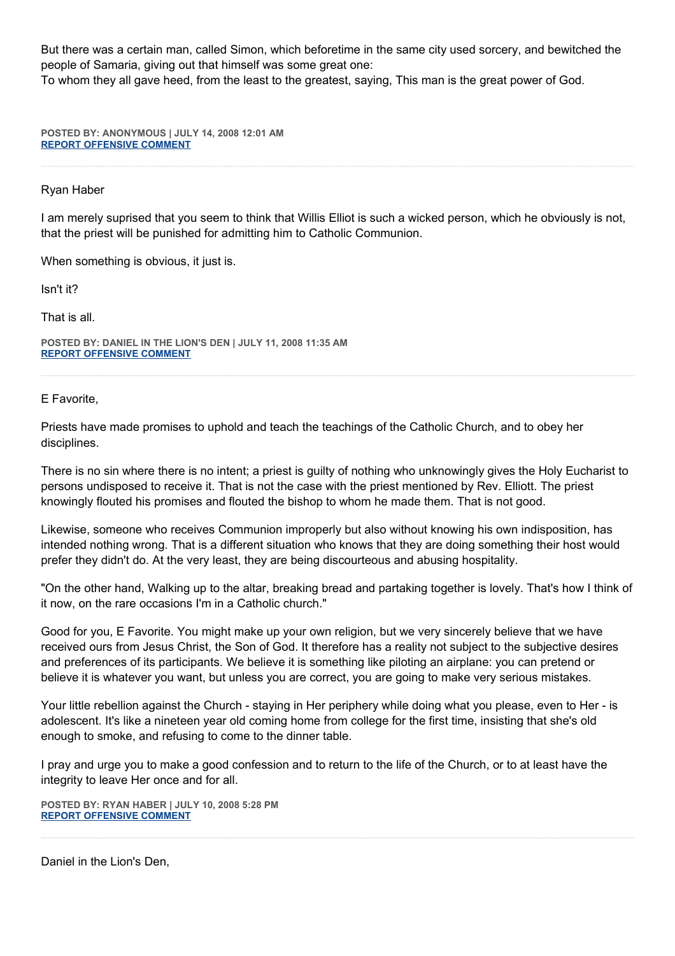But there was a certain man, called Simon, which beforetime in the same city used sorcery, and bewitched the people of Samaria, giving out that himself was some great one:

To whom they all gave heed, from the least to the greatest, saying, This man is the great power of God.

**POSTED BY: ANONYMOUS | JULY 14, 2008 12:01 AM [REPORT OFFENSIVE COMMENT](mailto:blogs@washingtonpost.com?subject=On%20Faith%20Panelists%20Blog%20%20%7C%20%20Anonymous%20%20%7C%20%20Roman%20Catholicism:%20Sally%20Was%20Right,%20But....%20%20%7C%20%204195711&body=%0D%0D%0D%0D%0D================%0D?__mode=view%26_type=comment%26id=4195711%26blog_id=618)**

### Ryan Haber

I am merely suprised that you seem to think that Willis Elliot is such a wicked person, which he obviously is not, that the priest will be punished for admitting him to Catholic Communion.

When something is obvious, it just is.

Isn't it?

That is all.

**POSTED BY: DANIEL IN THE LION'S DEN | JULY 11, 2008 11:35 AM [REPORT OFFENSIVE COMMENT](mailto:blogs@washingtonpost.com?subject=On%20Faith%20Panelists%20Blog%20%20%7C%20%20Daniel%20in%20the%20Lion)**

E Favorite,

Priests have made promises to uphold and teach the teachings of the Catholic Church, and to obey her disciplines.

There is no sin where there is no intent; a priest is guilty of nothing who unknowingly gives the Holy Eucharist to persons undisposed to receive it. That is not the case with the priest mentioned by Rev. Elliott. The priest knowingly flouted his promises and flouted the bishop to whom he made them. That is not good.

Likewise, someone who receives Communion improperly but also without knowing his own indisposition, has intended nothing wrong. That is a different situation who knows that they are doing something their host would prefer they didn't do. At the very least, they are being discourteous and abusing hospitality.

"On the other hand, Walking up to the altar, breaking bread and partaking together is lovely. That's how I think of it now, on the rare occasions I'm in a Catholic church."

Good for you, E Favorite. You might make up your own religion, but we very sincerely believe that we have received ours from Jesus Christ, the Son of God. It therefore has a reality not subject to the subjective desires and preferences of its participants. We believe it is something like piloting an airplane: you can pretend or believe it is whatever you want, but unless you are correct, you are going to make very serious mistakes.

Your little rebellion against the Church - staying in Her periphery while doing what you please, even to Her - is adolescent. It's like a nineteen year old coming home from college for the first time, insisting that she's old enough to smoke, and refusing to come to the dinner table.

I pray and urge you to make a good confession and to return to the life of the Church, or to at least have the integrity to leave Her once and for all.

**POSTED BY: RYAN HABER | JULY 10, 2008 5:28 PM [REPORT OFFENSIVE COMMENT](mailto:blogs@washingtonpost.com?subject=On%20Faith%20Panelists%20Blog%20%20%7C%20%20Ryan%20Haber%20%20%7C%20%20Roman%20Catholicism:%20Sally%20Was%20Right,%20But....%20%20%7C%20%204152763&body=%0D%0D%0D%0D%0D================%0D?__mode=view%26_type=comment%26id=4152763%26blog_id=618)**

Daniel in the Lion's Den,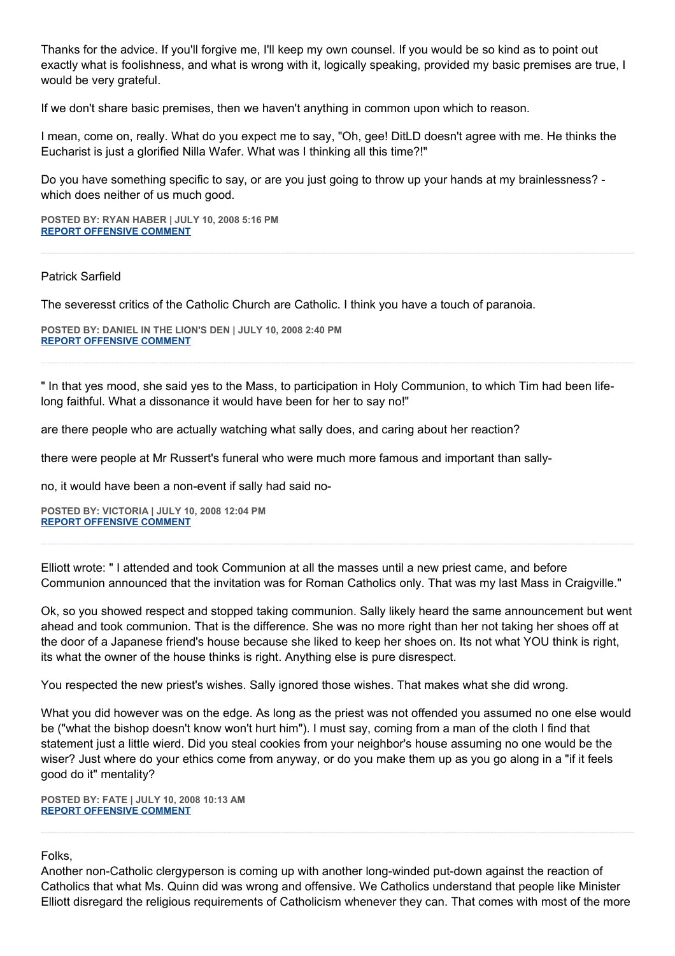Thanks for the advice. If you'll forgive me, I'll keep my own counsel. If you would be so kind as to point out exactly what is foolishness, and what is wrong with it, logically speaking, provided my basic premises are true, I would be very grateful.

If we don't share basic premises, then we haven't anything in common upon which to reason.

I mean, come on, really. What do you expect me to say, "Oh, gee! DitLD doesn't agree with me. He thinks the Eucharist is just a glorified Nilla Wafer. What was I thinking all this time?!"

Do you have something specific to say, or are you just going to throw up your hands at my brainlessness? which does neither of us much good.

**POSTED BY: RYAN HABER | JULY 10, 2008 5:16 PM [REPORT OFFENSIVE COMMENT](mailto:blogs@washingtonpost.com?subject=On%20Faith%20Panelists%20Blog%20%20%7C%20%20Ryan%20Haber%20%20%7C%20%20Roman%20Catholicism:%20Sally%20Was%20Right,%20But....%20%20%7C%20%204152610&body=%0D%0D%0D%0D%0D================%0D?__mode=view%26_type=comment%26id=4152610%26blog_id=618)**

#### Patrick Sarfield

The severesst critics of the Catholic Church are Catholic. I think you have a touch of paranoia.

**POSTED BY: DANIEL IN THE LION'S DEN | JULY 10, 2008 2:40 PM [REPORT OFFENSIVE COMMENT](mailto:blogs@washingtonpost.com?subject=On%20Faith%20Panelists%20Blog%20%20%7C%20%20Daniel%20in%20the%20Lion)**

" In that yes mood, she said yes to the Mass, to participation in Holy Communion, to which Tim had been lifelong faithful. What a dissonance it would have been for her to say no!"

are there people who are actually watching what sally does, and caring about her reaction?

there were people at Mr Russert's funeral who were much more famous and important than sally-

no, it would have been a non-event if sally had said no-

**POSTED BY: VICTORIA | JULY 10, 2008 12:04 PM [REPORT OFFENSIVE COMMENT](mailto:blogs@washingtonpost.com?subject=On%20Faith%20Panelists%20Blog%20%20%7C%20%20VICTORIA%20%20%7C%20%20Roman%20Catholicism:%20Sally%20Was%20Right,%20But....%20%20%7C%20%204149651&body=%0D%0D%0D%0D%0D================%0D?__mode=view%26_type=comment%26id=4149651%26blog_id=618)**

Elliott wrote: " I attended and took Communion at all the masses until a new priest came, and before Communion announced that the invitation was for Roman Catholics only. That was my last Mass in Craigville."

Ok, so you showed respect and stopped taking communion. Sally likely heard the same announcement but went ahead and took communion. That is the difference. She was no more right than her not taking her shoes off at the door of a Japanese friend's house because she liked to keep her shoes on. Its not what YOU think is right, its what the owner of the house thinks is right. Anything else is pure disrespect.

You respected the new priest's wishes. Sally ignored those wishes. That makes what she did wrong.

What you did however was on the edge. As long as the priest was not offended you assumed no one else would be ("what the bishop doesn't know won't hurt him"). I must say, coming from a man of the cloth I find that statement just a little wierd. Did you steal cookies from your neighbor's house assuming no one would be the wiser? Just where do your ethics come from anyway, or do you make them up as you go along in a "if it feels good do it" mentality?

**POSTED BY: FATE | JULY 10, 2008 10:13 AM [REPORT OFFENSIVE COMMENT](mailto:blogs@washingtonpost.com?subject=On%20Faith%20Panelists%20Blog%20%20%7C%20%20Fate%20%20%7C%20%20Roman%20Catholicism:%20Sally%20Was%20Right,%20But....%20%20%7C%20%204148620&body=%0D%0D%0D%0D%0D================%0D?__mode=view%26_type=comment%26id=4148620%26blog_id=618)**

#### Folks,

Another non-Catholic clergyperson is coming up with another long-winded put-down against the reaction of Catholics that what Ms. Quinn did was wrong and offensive. We Catholics understand that people like Minister Elliott disregard the religious requirements of Catholicism whenever they can. That comes with most of the more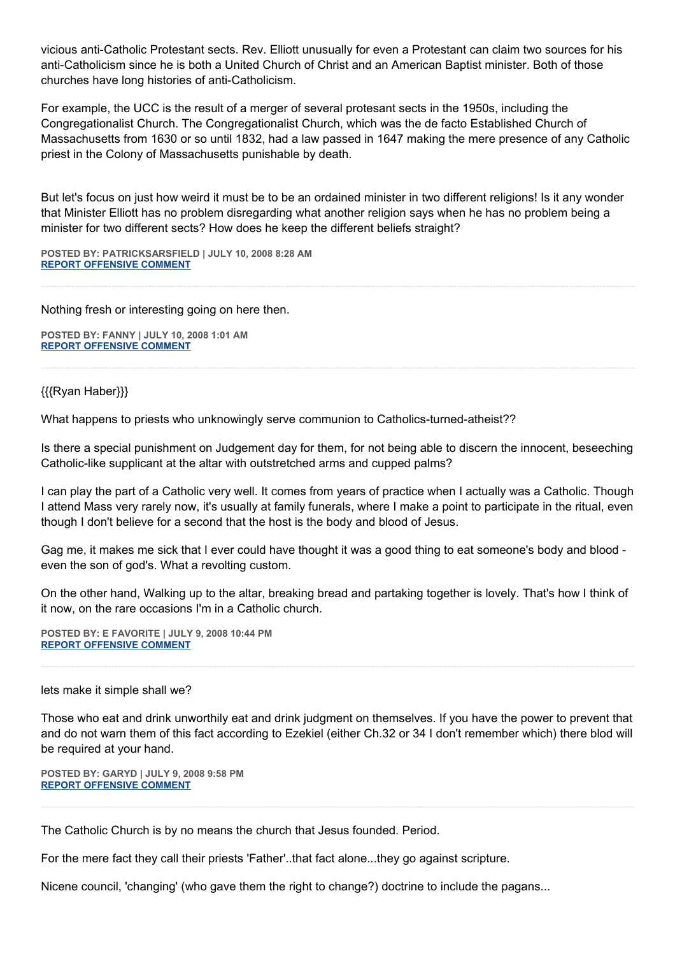vicious anti-Catholic Protestant sects. Rev. Elliott unusually for even a Protestant can claim two sources for his anti-Catholicism since he is both a United Church of Christ and an American Baptist minister. Both of those churches have long histories of anti-Catholicism.

For example, the UCC is the result of a merger of several protesant sects in the 1950s, including the Congregationalist Church. The Congregationalist Church, which was the de facto Established Church of Massachusetts from 1630 or so until 1832, had a law passed in 1647 making the mere presence of any Catholic priest in the Colony of Massachusetts punishable by death.

But let's focus on just how weird it must be to be an ordained minister in two different religions! Is it any wonder that Minister Elliott has no problem disregarding what another religion says when he has no problem being a minister for two different sects? How does he keep the different beliefs straight?

**POSTED BY: PATRICKSARSFIELD | JULY 10, 2008 8:28 AM [REPORT OFFENSIVE COMMENT](mailto:blogs@washingtonpost.com?subject=On%20Faith%20Panelists%20Blog%20%20%7C%20%20patricksarsfield%20%20%7C%20%20Roman%20Catholicism:%20Sally%20Was%20Right,%20But....%20%20%7C%20%204147719&body=%0D%0D%0D%0D%0D================%0D?__mode=view%26_type=comment%26id=4147719%26blog_id=618)**

Nothing fresh or interesting going on here then.

**POSTED BY: FANNY | JULY 10, 2008 1:01 AM [REPORT OFFENSIVE COMMENT](mailto:blogs@washingtonpost.com?subject=On%20Faith%20Panelists%20Blog%20%20%7C%20%20Fanny%20%20%7C%20%20Roman%20Catholicism:%20Sally%20Was%20Right,%20But....%20%20%7C%20%204143953&body=%0D%0D%0D%0D%0D================%0D?__mode=view%26_type=comment%26id=4143953%26blog_id=618)**

#### {{{Ryan Haber}}}

What happens to priests who unknowingly serve communion to Catholics-turned-atheist??

Is there a special punishment on Judgement day for them, for not being able to discern the innocent, beseeching Catholic-like supplicant at the altar with outstretched arms and cupped palms?

I can play the part of a Catholic very well. It comes from years of practice when I actually was a Catholic. Though I attend Mass very rarely now, it's usually at family funerals, where I make a point to participate in the ritual, even though I don't believe for a second that the host is the body and blood of Jesus.

Gag me, it makes me sick that I ever could have thought it was a good thing to eat someone's body and blood even the son of god's. What a revolting custom.

On the other hand, Walking up to the altar, breaking bread and partaking together is lovely. That's how I think of it now, on the rare occasions I'm in a Catholic church.

**POSTED BY: E FAVORITE | JULY 9, 2008 10:44 PM [REPORT OFFENSIVE COMMENT](mailto:blogs@washingtonpost.com?subject=On%20Faith%20Panelists%20Blog%20%20%7C%20%20E%20Favorite%20%20%7C%20%20Roman%20Catholicism:%20Sally%20Was%20Right,%20But....%20%20%7C%20%204142853&body=%0D%0D%0D%0D%0D================%0D?__mode=view%26_type=comment%26id=4142853%26blog_id=618)**

#### lets make it simple shall we?

Those who eat and drink unworthily eat and drink judgment on themselves. If you have the power to prevent that and do not warn them of this fact according to Ezekiel (either Ch.32 or 34 I don't remember which) there blod will be required at your hand.

**POSTED BY: GARYD | JULY 9, 2008 9:58 PM [REPORT OFFENSIVE COMMENT](mailto:blogs@washingtonpost.com?subject=On%20Faith%20Panelists%20Blog%20%20%7C%20%20garyd%20%20%7C%20%20Roman%20Catholicism:%20Sally%20Was%20Right,%20But....%20%20%7C%20%204142440&body=%0D%0D%0D%0D%0D================%0D?__mode=view%26_type=comment%26id=4142440%26blog_id=618)**

The Catholic Church is by no means the church that Jesus founded. Period.

For the mere fact they call their priests 'Father'..that fact alone...they go against scripture.

Nicene council, 'changing' (who gave them the right to change?) doctrine to include the pagans...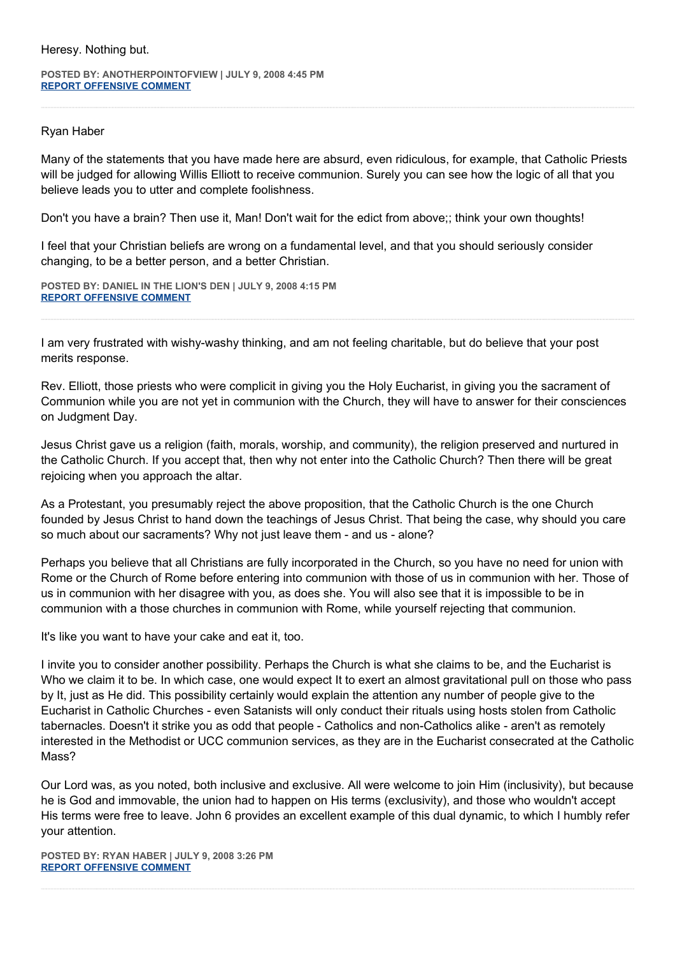Heresy. Nothing but.

**POSTED BY: ANOTHERPOINTOFVIEW | JULY 9, 2008 4:45 PM [REPORT OFFENSIVE COMMENT](mailto:blogs@washingtonpost.com?subject=On%20Faith%20Panelists%20Blog%20%20%7C%20%20AnotherPointOfView%20%20%7C%20%20Roman%20Catholicism:%20Sally%20Was%20Right,%20But....%20%20%7C%20%204139815&body=%0D%0D%0D%0D%0D================%0D?__mode=view%26_type=comment%26id=4139815%26blog_id=618)**

## Ryan Haber

Many of the statements that you have made here are absurd, even ridiculous, for example, that Catholic Priests will be judged for allowing Willis Elliott to receive communion. Surely you can see how the logic of all that you believe leads you to utter and complete foolishness.

Don't you have a brain? Then use it, Man! Don't wait for the edict from above;; think your own thoughts!

I feel that your Christian beliefs are wrong on a fundamental level, and that you should seriously consider changing, to be a better person, and a better Christian.

**POSTED BY: DANIEL IN THE LION'S DEN | JULY 9, 2008 4:15 PM [REPORT OFFENSIVE COMMENT](mailto:blogs@washingtonpost.com?subject=On%20Faith%20Panelists%20Blog%20%20%7C%20%20Daniel%20in%20the%20Lion)**

I am very frustrated with wishy-washy thinking, and am not feeling charitable, but do believe that your post merits response.

Rev. Elliott, those priests who were complicit in giving you the Holy Eucharist, in giving you the sacrament of Communion while you are not yet in communion with the Church, they will have to answer for their consciences on Judgment Day.

Jesus Christ gave us a religion (faith, morals, worship, and community), the religion preserved and nurtured in the Catholic Church. If you accept that, then why not enter into the Catholic Church? Then there will be great rejoicing when you approach the altar.

As a Protestant, you presumably reject the above proposition, that the Catholic Church is the one Church founded by Jesus Christ to hand down the teachings of Jesus Christ. That being the case, why should you care so much about our sacraments? Why not just leave them - and us - alone?

Perhaps you believe that all Christians are fully incorporated in the Church, so you have no need for union with Rome or the Church of Rome before entering into communion with those of us in communion with her. Those of us in communion with her disagree with you, as does she. You will also see that it is impossible to be in communion with a those churches in communion with Rome, while yourself rejecting that communion.

It's like you want to have your cake and eat it, too.

I invite you to consider another possibility. Perhaps the Church is what she claims to be, and the Eucharist is Who we claim it to be. In which case, one would expect It to exert an almost gravitational pull on those who pass by It, just as He did. This possibility certainly would explain the attention any number of people give to the Eucharist in Catholic Churches - even Satanists will only conduct their rituals using hosts stolen from Catholic tabernacles. Doesn't it strike you as odd that people - Catholics and non-Catholics alike - aren't as remotely interested in the Methodist or UCC communion services, as they are in the Eucharist consecrated at the Catholic Mass?

Our Lord was, as you noted, both inclusive and exclusive. All were welcome to join Him (inclusivity), but because he is God and immovable, the union had to happen on His terms (exclusivity), and those who wouldn't accept His terms were free to leave. John 6 provides an excellent example of this dual dynamic, to which I humbly refer your attention.

**POSTED BY: RYAN HABER | JULY 9, 2008 3:26 PM [REPORT OFFENSIVE COMMENT](mailto:blogs@washingtonpost.com?subject=On%20Faith%20Panelists%20Blog%20%20%7C%20%20Ryan%20Haber%20%20%7C%20%20Roman%20Catholicism:%20Sally%20Was%20Right,%20But....%20%20%7C%20%204139188&body=%0D%0D%0D%0D%0D================%0D?__mode=view%26_type=comment%26id=4139188%26blog_id=618)**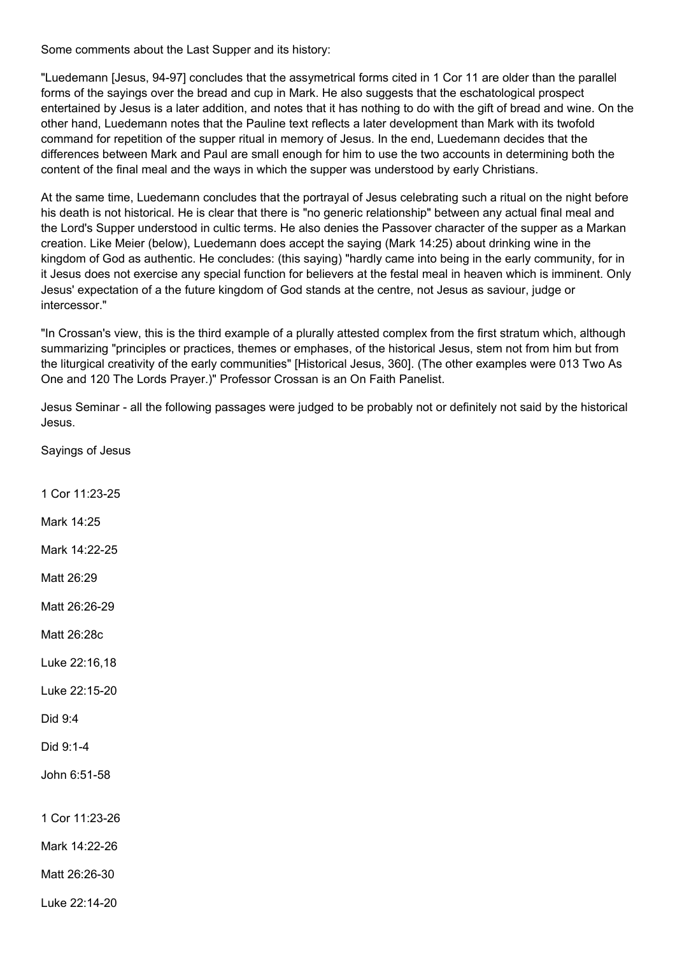Some comments about the Last Supper and its history:

"Luedemann [Jesus, 94-97] concludes that the assymetrical forms cited in 1 Cor 11 are older than the parallel forms of the sayings over the bread and cup in Mark. He also suggests that the eschatological prospect entertained by Jesus is a later addition, and notes that it has nothing to do with the gift of bread and wine. On the other hand, Luedemann notes that the Pauline text reflects a later development than Mark with its twofold command for repetition of the supper ritual in memory of Jesus. In the end, Luedemann decides that the differences between Mark and Paul are small enough for him to use the two accounts in determining both the content of the final meal and the ways in which the supper was understood by early Christians.

At the same time, Luedemann concludes that the portrayal of Jesus celebrating such a ritual on the night before his death is not historical. He is clear that there is "no generic relationship" between any actual final meal and the Lord's Supper understood in cultic terms. He also denies the Passover character of the supper as a Markan creation. Like Meier (below), Luedemann does accept the saying (Mark 14:25) about drinking wine in the kingdom of God as authentic. He concludes: (this saying) "hardly came into being in the early community, for in it Jesus does not exercise any special function for believers at the festal meal in heaven which is imminent. Only Jesus' expectation of a the future kingdom of God stands at the centre, not Jesus as saviour, judge or intercessor."

"In Crossan's view, this is the third example of a plurally attested complex from the first stratum which, although summarizing "principles or practices, themes or emphases, of the historical Jesus, stem not from him but from the liturgical creativity of the early communities" [Historical Jesus, 360]. (The other examples were 013 Two As One and 120 The Lords Prayer.)" Professor Crossan is an On Faith Panelist.

Jesus Seminar - all the following passages were judged to be probably not or definitely not said by the historical Jesus.

Sayings of Jesus

1 Cor 11:23-25

Mark 14:25

Mark 14:22-25

Matt 26:29

Matt 26:26-29

Matt 26:28c

Luke 22:16,18

Luke 22:15-20

Did 9:4

Did 9:1-4

John 6:51-58

1 Cor 11:23-26

Mark 14:22-26

Matt 26:26-30

Luke 22:14-20